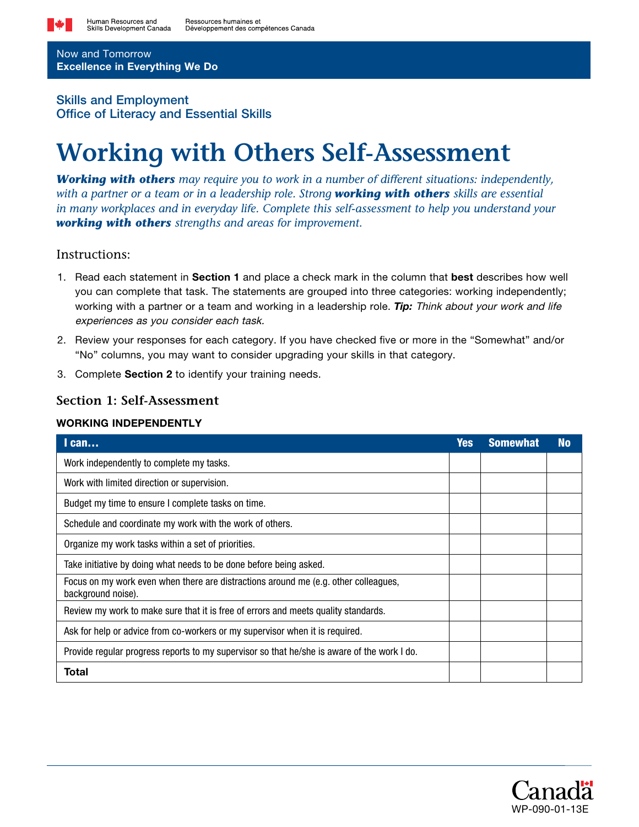

Now and Tomorrow Excellence in Everything We Do

## Skills and Employment Office of Literacy and Essential Skills

# **Working with Others Self-Assessment**

*Working with others may require you to work in a number of different situations: independently, with a partner or a team or in a leadership role. Strong working with others skills are essential in many workplaces and in everyday life. Complete this self-assessment to help you understand your working with others strengths and areas for improvement.*

## Instructions:

- 1. Read each statement in **Section 1** and place a check mark in the column that **best** describes how well you can complete that task. The statements are grouped into three categories: working independently; working with a partner or a team and working in a leadership role. *Tip:* Think about your work and life experiences as you consider each task.
- 2. Review your responses for each category. If you have checked five or more in the "Somewhat" and/or "No" columns, you may want to consider upgrading your skills in that category.
- 3. Complete Section 2 to identify your training needs.

# **Section 1: Self-Assessment**

#### WORKING INDEPENDENTLY

| $l$ can                                                                                                   | Yes | <b>Somewhat</b> | <b>No</b> |
|-----------------------------------------------------------------------------------------------------------|-----|-----------------|-----------|
| Work independently to complete my tasks.                                                                  |     |                 |           |
| Work with limited direction or supervision.                                                               |     |                 |           |
| Budget my time to ensure I complete tasks on time.                                                        |     |                 |           |
| Schedule and coordinate my work with the work of others.                                                  |     |                 |           |
| Organize my work tasks within a set of priorities.                                                        |     |                 |           |
| Take initiative by doing what needs to be done before being asked.                                        |     |                 |           |
| Focus on my work even when there are distractions around me (e.g. other colleagues,<br>background noise). |     |                 |           |
| Review my work to make sure that it is free of errors and meets quality standards.                        |     |                 |           |
| Ask for help or advice from co-workers or my supervisor when it is required.                              |     |                 |           |
| Provide regular progress reports to my supervisor so that he/she is aware of the work I do.               |     |                 |           |
| Total                                                                                                     |     |                 |           |

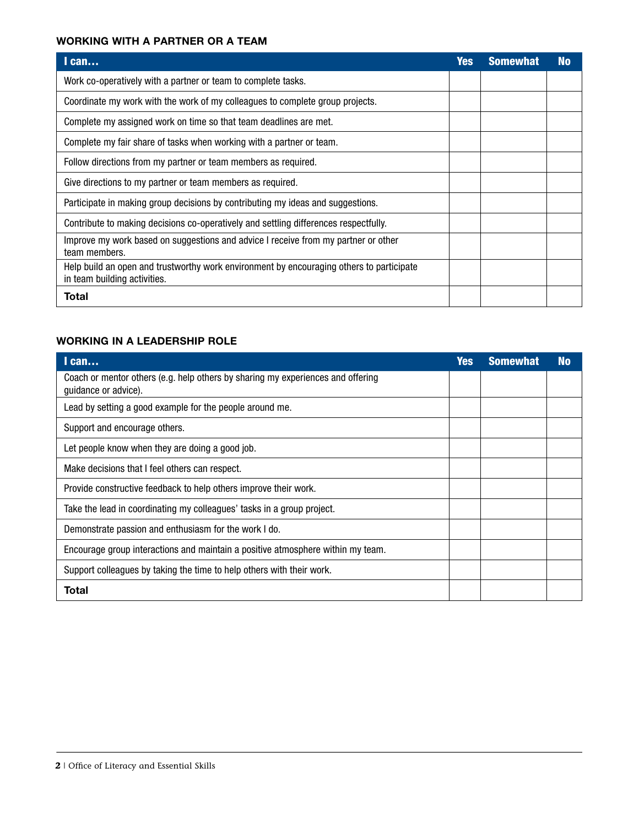## WORKING WITH A PARTNER OR A TEAM

| $l$ can                                                                                                                  | Yes | <b>Somewhat</b> | <b>No</b> |
|--------------------------------------------------------------------------------------------------------------------------|-----|-----------------|-----------|
| Work co-operatively with a partner or team to complete tasks.                                                            |     |                 |           |
| Coordinate my work with the work of my colleagues to complete group projects.                                            |     |                 |           |
| Complete my assigned work on time so that team deadlines are met.                                                        |     |                 |           |
| Complete my fair share of tasks when working with a partner or team.                                                     |     |                 |           |
| Follow directions from my partner or team members as required.                                                           |     |                 |           |
| Give directions to my partner or team members as required.                                                               |     |                 |           |
| Participate in making group decisions by contributing my ideas and suggestions.                                          |     |                 |           |
| Contribute to making decisions co-operatively and settling differences respectfully.                                     |     |                 |           |
| Improve my work based on suggestions and advice I receive from my partner or other<br>team members.                      |     |                 |           |
| Help build an open and trustworthy work environment by encouraging others to participate<br>in team building activities. |     |                 |           |
| Total                                                                                                                    |     |                 |           |

# WORKING IN A LEADERSHIP ROLE

| $l$ can                                                                                                 | <b>Yes</b> | <b>Somewhat</b> | <b>No</b> |
|---------------------------------------------------------------------------------------------------------|------------|-----------------|-----------|
| Coach or mentor others (e.g. help others by sharing my experiences and offering<br>guidance or advice). |            |                 |           |
| Lead by setting a good example for the people around me.                                                |            |                 |           |
| Support and encourage others.                                                                           |            |                 |           |
| Let people know when they are doing a good job.                                                         |            |                 |           |
| Make decisions that I feel others can respect.                                                          |            |                 |           |
| Provide constructive feedback to help others improve their work.                                        |            |                 |           |
| Take the lead in coordinating my colleagues' tasks in a group project.                                  |            |                 |           |
| Demonstrate passion and enthusiasm for the work I do.                                                   |            |                 |           |
| Encourage group interactions and maintain a positive atmosphere within my team.                         |            |                 |           |
| Support colleagues by taking the time to help others with their work.                                   |            |                 |           |
| Total                                                                                                   |            |                 |           |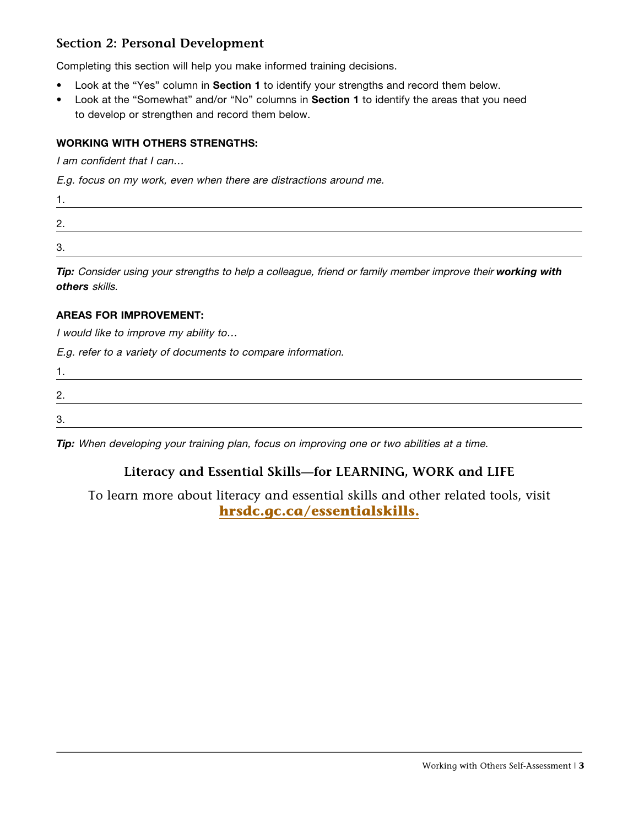# **Section 2: Personal Development**

Completing this section will help you make informed training decisions.

- Look at the "Yes" column in Section 1 to identify your strengths and record them below.
- Look at the "Somewhat" and/or "No" columns in Section 1 to identify the areas that you need to develop or strengthen and record them below.

## WORKING WITH OTHERS STRENGTHS:

I am confident that I can...

E.g. focus on my work, even when there are distractions around me.

| <u>.</u> |  |
|----------|--|
| ⌒        |  |

*Tip:* Consider using your strengths to help a colleague, friend or family member improve their *working with others* skills.

#### AREAS FOR IMPROVEMENT:

I would like to improve my ability to…

E.g. refer to a variety of documents to compare information.

| C<br>ີ |  |  |
|--------|--|--|

**Tip:** When developing your training plan, focus on improving one or two abilities at a time.

# **Literacy and Essential Skills—for LEARNING, WORK and LIFE**

To learn more about literacy and essential skills and other related tools, visit **[hrsdc.gc.ca/essentialskills.](http://hrsdc.gc.ca/essentialskills)**